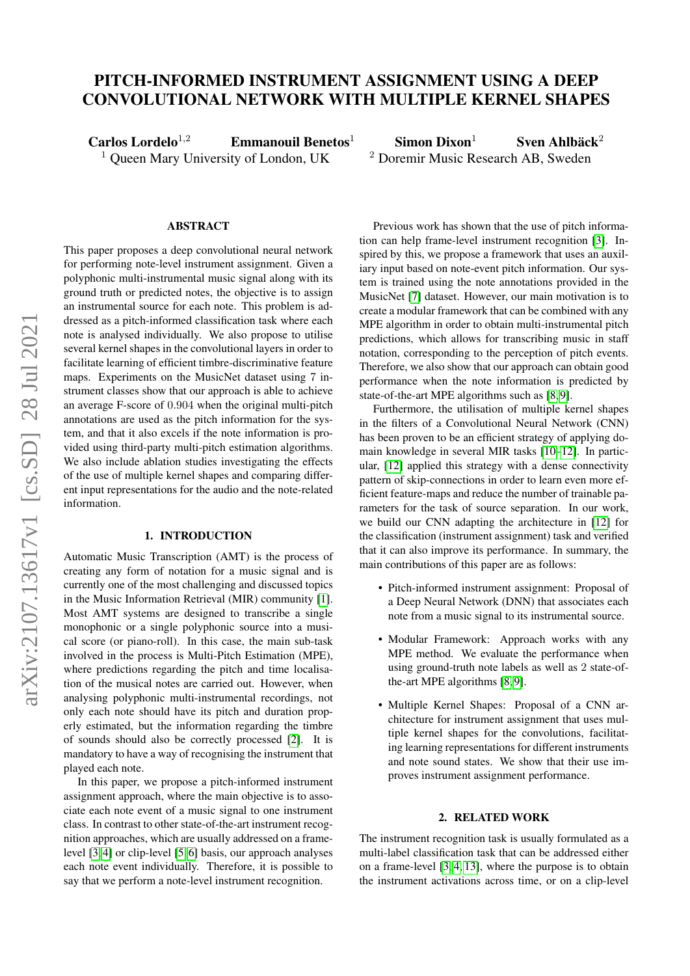# PITCH-INFORMED INSTRUMENT ASSIGNMENT USING A DEEP CONVOLUTIONAL NETWORK WITH MULTIPLE KERNEL SHAPES

Carlos Lordelo<sup>1,2</sup> Emmanouil Benetos<sup>1</sup> Simon Dixon<sup>1</sup> Sven Ahlbäck<sup>2</sup>

<sup>1</sup> Queen Mary University of London, UK  $\frac{2 \text{ Doremir Music Research AB, Sweden}}{2 \text{ Doremir}$ 

#### ABSTRACT

This paper proposes a deep convolutional neural network for performing note-level instrument assignment. Given a polyphonic multi-instrumental music signal along with its ground truth or predicted notes, the objective is to assign an instrumental source for each note. This problem is addressed as a pitch-informed classification task where each note is analysed individually. We also propose to utilise several kernel shapes in the convolutional layers in order to facilitate learning of efficient timbre-discriminative feature maps. Experiments on the MusicNet dataset using 7 instrument classes show that our approach is able to achieve an average F-score of 0.904 when the original multi-pitch annotations are used as the pitch information for the system, and that it also excels if the note information is provided using third-party multi-pitch estimation algorithms. We also include ablation studies investigating the effects of the use of multiple kernel shapes and comparing different input representations for the audio and the note-related information.

## 1. INTRODUCTION

Automatic Music Transcription (AMT) is the process of creating any form of notation for a music signal and is currently one of the most challenging and discussed topics in the Music Information Retrieval (MIR) community [\[1\]](#page-6-0). Most AMT systems are designed to transcribe a single monophonic or a single polyphonic source into a musical score (or piano-roll). In this case, the main sub-task involved in the process is Multi-Pitch Estimation (MPE), where predictions regarding the pitch and time localisation of the musical notes are carried out. However, when analysing polyphonic multi-instrumental recordings, not only each note should have its pitch and duration properly estimated, but the information regarding the timbre of sounds should also be correctly processed [\[2\]](#page-6-1). It is mandatory to have a way of recognising the instrument that played each note.

In this paper, we propose a pitch-informed instrument assignment approach, where the main objective is to associate each note event of a music signal to one instrument class. In contrast to other state-of-the-art instrument recognition approaches, which are usually addressed on a framelevel [\[3,](#page-6-2) [4\]](#page-6-3) or clip-level [\[5,](#page-6-4) [6\]](#page-6-5) basis, our approach analyses each note event individually. Therefore, it is possible to say that we perform a note-level instrument recognition.

Previous work has shown that the use of pitch information can help frame-level instrument recognition [\[3\]](#page-6-2). Inspired by this, we propose a framework that uses an auxiliary input based on note-event pitch information. Our system is trained using the note annotations provided in the MusicNet [\[7\]](#page-6-6) dataset. However, our main motivation is to create a modular framework that can be combined with any MPE algorithm in order to obtain multi-instrumental pitch predictions, which allows for transcribing music in staff notation, corresponding to the perception of pitch events. Therefore, we also show that our approach can obtain good performance when the note information is predicted by state-of-the-art MPE algorithms such as [\[8,](#page-6-7) [9\]](#page-6-8).

Furthermore, the utilisation of multiple kernel shapes in the filters of a Convolutional Neural Network (CNN) has been proven to be an efficient strategy of applying domain knowledge in several MIR tasks [\[10–](#page-6-9)[12\]](#page-6-10). In particular, [\[12\]](#page-6-10) applied this strategy with a dense connectivity pattern of skip-connections in order to learn even more efficient feature-maps and reduce the number of trainable parameters for the task of source separation. In our work, we build our CNN adapting the architecture in [\[12\]](#page-6-10) for the classification (instrument assignment) task and verified that it can also improve its performance. In summary, the main contributions of this paper are as follows:

- Pitch-informed instrument assignment: Proposal of a Deep Neural Network (DNN) that associates each note from a music signal to its instrumental source.
- Modular Framework: Approach works with any MPE method. We evaluate the performance when using ground-truth note labels as well as 2 state-ofthe-art MPE algorithms [\[8,](#page-6-7) [9\]](#page-6-8).
- Multiple Kernel Shapes: Proposal of a CNN architecture for instrument assignment that uses multiple kernel shapes for the convolutions, facilitating learning representations for different instruments and note sound states. We show that their use improves instrument assignment performance.

# 2. RELATED WORK

The instrument recognition task is usually formulated as a multi-label classification task that can be addressed either on a frame-level [\[3,](#page-6-2) [4,](#page-6-3) [13\]](#page-6-11), where the purpose is to obtain the instrument activations across time, or on a clip-level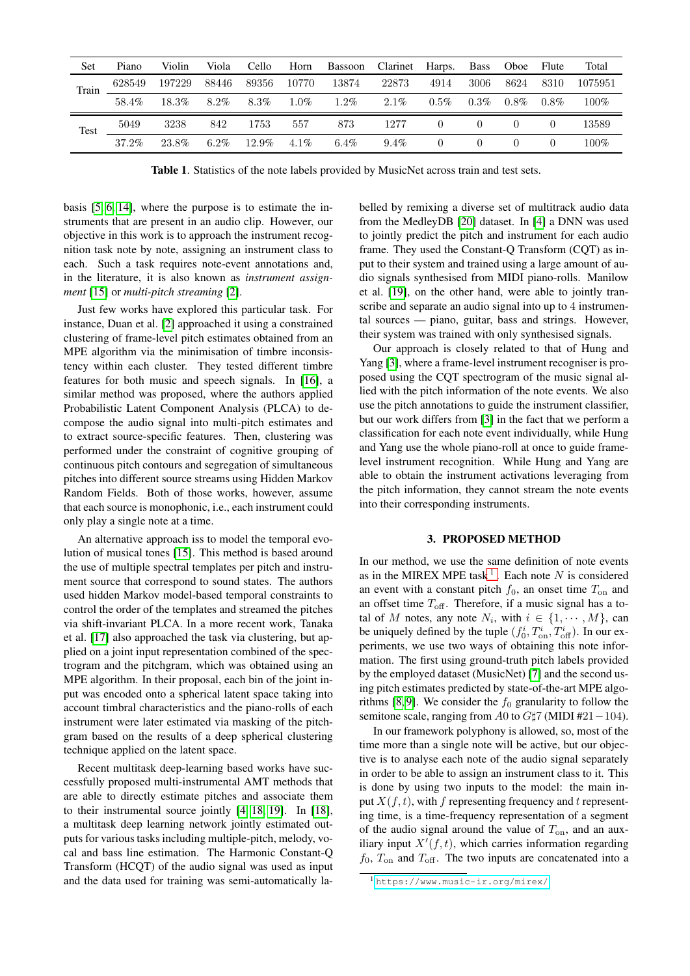| Set   | Piano  | Violin | Viola   | Cello    | Horn    | Bassoon | Clarinet | Harps.   | <b>Bass</b> | Oboe     | Flute    | Total   |
|-------|--------|--------|---------|----------|---------|---------|----------|----------|-------------|----------|----------|---------|
| Train | 628549 | 197229 | 88446   | 89356    | 10770   | 13874   | 22873    | 4914     | 3006        | 8624     | 8310     | 1075951 |
|       | 58.4%  | 18.3%  | $8.2\%$ | 8.3%     | $1.0\%$ | $1.2\%$ | $2.1\%$  | $0.5\%$  | $0.3\%$     | $0.8\%$  | $0.8\%$  | $100\%$ |
| Test  | 5049   | 3238   | 842     | 1753     | 557     | 873     | 1277     | $\theta$ | $\theta$    | $\theta$ | $\theta$ | 13589   |
|       | 37.2%  | 23.8%  | $6.2\%$ | $12.9\%$ | $4.1\%$ | $6.4\%$ | $9.4\%$  | $\theta$ | $\Omega$    | $\theta$ | $\theta$ | $100\%$ |

<span id="page-1-2"></span>Table 1. Statistics of the note labels provided by MusicNet across train and test sets.

basis [\[5,](#page-6-4) [6,](#page-6-5) [14\]](#page-6-12), where the purpose is to estimate the instruments that are present in an audio clip. However, our objective in this work is to approach the instrument recognition task note by note, assigning an instrument class to each. Such a task requires note-event annotations and, in the literature, it is also known as *instrument assignment* [\[15\]](#page-6-13) or *multi-pitch streaming* [\[2\]](#page-6-1).

Just few works have explored this particular task. For instance, Duan et al. [\[2\]](#page-6-1) approached it using a constrained clustering of frame-level pitch estimates obtained from an MPE algorithm via the minimisation of timbre inconsistency within each cluster. They tested different timbre features for both music and speech signals. In [\[16\]](#page-6-14), a similar method was proposed, where the authors applied Probabilistic Latent Component Analysis (PLCA) to decompose the audio signal into multi-pitch estimates and to extract source-specific features. Then, clustering was performed under the constraint of cognitive grouping of continuous pitch contours and segregation of simultaneous pitches into different source streams using Hidden Markov Random Fields. Both of those works, however, assume that each source is monophonic, i.e., each instrument could only play a single note at a time.

An alternative approach iss to model the temporal evolution of musical tones [\[15\]](#page-6-13). This method is based around the use of multiple spectral templates per pitch and instrument source that correspond to sound states. The authors used hidden Markov model-based temporal constraints to control the order of the templates and streamed the pitches via shift-invariant PLCA. In a more recent work, Tanaka et al. [\[17\]](#page-6-15) also approached the task via clustering, but applied on a joint input representation combined of the spectrogram and the pitchgram, which was obtained using an MPE algorithm. In their proposal, each bin of the joint input was encoded onto a spherical latent space taking into account timbral characteristics and the piano-rolls of each instrument were later estimated via masking of the pitchgram based on the results of a deep spherical clustering technique applied on the latent space.

Recent multitask deep-learning based works have successfully proposed multi-instrumental AMT methods that are able to directly estimate pitches and associate them to their instrumental source jointly [\[4,](#page-6-3) [18,](#page-6-16) [19\]](#page-6-17). In [\[18\]](#page-6-16), a multitask deep learning network jointly estimated outputs for various tasks including multiple-pitch, melody, vocal and bass line estimation. The Harmonic Constant-Q Transform (HCQT) of the audio signal was used as input and the data used for training was semi-automatically labelled by remixing a diverse set of multitrack audio data from the MedleyDB [\[20\]](#page-6-18) dataset. In [\[4\]](#page-6-3) a DNN was used to jointly predict the pitch and instrument for each audio frame. They used the Constant-Q Transform (CQT) as input to their system and trained using a large amount of audio signals synthesised from MIDI piano-rolls. Manilow et al. [\[19\]](#page-6-17), on the other hand, were able to jointly transcribe and separate an audio signal into up to 4 instrumental sources — piano, guitar, bass and strings. However, their system was trained with only synthesised signals.

Our approach is closely related to that of Hung and Yang [\[3\]](#page-6-2), where a frame-level instrument recogniser is proposed using the CQT spectrogram of the music signal allied with the pitch information of the note events. We also use the pitch annotations to guide the instrument classifier, but our work differs from [\[3\]](#page-6-2) in the fact that we perform a classification for each note event individually, while Hung and Yang use the whole piano-roll at once to guide framelevel instrument recognition. While Hung and Yang are able to obtain the instrument activations leveraging from the pitch information, they cannot stream the note events into their corresponding instruments.

### 3. PROPOSED METHOD

<span id="page-1-1"></span>In our method, we use the same definition of note events as in the MIREX MPE task<sup>[1](#page-1-0)</sup>. Each note  $N$  is considered an event with a constant pitch  $f_0$ , an onset time  $T_{on}$  and an offset time  $T_{\text{off}}$ . Therefore, if a music signal has a total of M notes, any note  $N_i$ , with  $i \in \{1, \cdots, M\}$ , can be uniquely defined by the tuple  $(f_0^i, T_{\text{on}}^i, T_{\text{off}}^i)$ . In our experiments, we use two ways of obtaining this note information. The first using ground-truth pitch labels provided by the employed dataset (MusicNet) [\[7\]](#page-6-6) and the second using pitch estimates predicted by state-of-the-art MPE algo-rithms [\[8,](#page-6-7)9]. We consider the  $f_0$  granularity to follow the semitone scale, ranging from A0 to G $\sharp$ 7 (MIDI #21 – 104).

In our framework polyphony is allowed, so, most of the time more than a single note will be active, but our objective is to analyse each note of the audio signal separately in order to be able to assign an instrument class to it. This is done by using two inputs to the model: the main input  $X(f, t)$ , with f representing frequency and t representing time, is a time-frequency representation of a segment of the audio signal around the value of  $T_{on}$ , and an auxiliary input  $X'(f, t)$ , which carries information regarding  $f_0$ ,  $T_{\text{on}}$  and  $T_{\text{off}}$ . The two inputs are concatenated into a

<span id="page-1-0"></span><sup>1</sup> <https://www.music-ir.org/mirex/>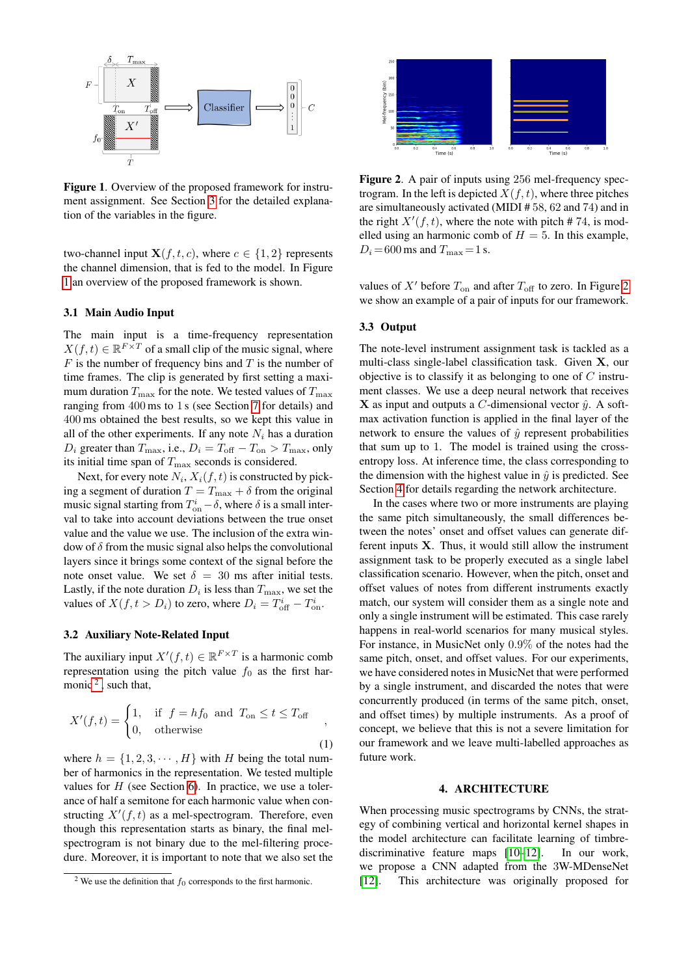

<span id="page-2-0"></span>Figure 1. Overview of the proposed framework for instrument assignment. See Section [3](#page-1-1) for the detailed explanation of the variables in the figure.

two-channel input  $X(f, t, c)$ , where  $c \in \{1, 2\}$  represents the channel dimension, that is fed to the model. In Figure [1](#page-2-0) an overview of the proposed framework is shown.

## 3.1 Main Audio Input

The main input is a time-frequency representation  $X(f, t) \in \mathbb{R}^{F \times T}$  of a small clip of the music signal, where  $F$  is the number of frequency bins and  $T$  is the number of time frames. The clip is generated by first setting a maximum duration  $T_{\text{max}}$  for the note. We tested values of  $T_{\text{max}}$ ranging from 400 ms to 1 s (see Section [7](#page-4-0) for details) and 400 ms obtained the best results, so we kept this value in all of the other experiments. If any note  $N_i$  has a duration  $D_i$  greater than  $T_{\text{max}}$ , i.e.,  $D_i = T_{\text{off}} - T_{\text{on}} > T_{\text{max}}$ , only its initial time span of  $T_{\text{max}}$  seconds is considered.

Next, for every note  $N_i, X_i(f, t)$  is constructed by picking a segment of duration  $T = T_{\text{max}} + \delta$  from the original music signal starting from  $T_{\text{on}}^i - \delta$ , where  $\delta$  is a small interval to take into account deviations between the true onset value and the value we use. The inclusion of the extra window of  $\delta$  from the music signal also helps the convolutional layers since it brings some context of the signal before the note onset value. We set  $\delta = 30$  ms after initial tests. Lastly, if the note duration  $D_i$  is less than  $T_{\text{max}}$ , we set the values of  $X(f, t > D_i)$  to zero, where  $D_i = T_{\text{off}}^i - T_{\text{on}}^i$ .

## 3.2 Auxiliary Note-Related Input

The auxiliary input  $X'(f, t) \in \mathbb{R}^{F \times T}$  is a harmonic comb representation using the pitch value  $f_0$  as the first harmonic  $2$ , such that,

$$
X'(f,t) = \begin{cases} 1, & \text{if } f = hf_0 \text{ and } T_{\text{on}} \le t \le T_{\text{off}} \\ 0, & \text{otherwise} \end{cases}
$$

where  $h = \{1, 2, 3, \dots, H\}$  with H being the total number of harmonics in the representation. We tested multiple values for  $H$  (see Section [6\)](#page-4-1). In practice, we use a tolerance of half a semitone for each harmonic value when constructing  $X'(f, t)$  as a mel-spectrogram. Therefore, even though this representation starts as binary, the final melspectrogram is not binary due to the mel-filtering procedure. Moreover, it is important to note that we also set the



<span id="page-2-2"></span>Figure 2. A pair of inputs using 256 mel-frequency spectrogram. In the left is depicted  $X(f, t)$ , where three pitches are simultaneously activated (MIDI # 58, 62 and 74) and in the right  $X'(f, t)$ , where the note with pitch # 74, is modelled using an harmonic comb of  $H = 5$ . In this example,  $D_i = 600$  ms and  $T_{\text{max}} = 1$  s.

values of  $X'$  before  $T_{on}$  and after  $T_{off}$  to zero. In Figure [2](#page-2-2) we show an example of a pair of inputs for our framework.

## 3.3 Output

The note-level instrument assignment task is tackled as a multi-class single-label classification task. Given X, our objective is to classify it as belonging to one of  $C$  instrument classes. We use a deep neural network that receives X as input and outputs a C-dimensional vector  $\hat{y}$ . A softmax activation function is applied in the final layer of the network to ensure the values of  $\hat{y}$  represent probabilities that sum up to 1. The model is trained using the crossentropy loss. At inference time, the class corresponding to the dimension with the highest value in  $\hat{y}$  is predicted. See Section [4](#page-2-3) for details regarding the network architecture.

In the cases where two or more instruments are playing the same pitch simultaneously, the small differences between the notes' onset and offset values can generate different inputs  $X$ . Thus, it would still allow the instrument assignment task to be properly executed as a single label classification scenario. However, when the pitch, onset and offset values of notes from different instruments exactly match, our system will consider them as a single note and only a single instrument will be estimated. This case rarely happens in real-world scenarios for many musical styles. For instance, in MusicNet only 0.9% of the notes had the same pitch, onset, and offset values. For our experiments, we have considered notes in MusicNet that were performed by a single instrument, and discarded the notes that were concurrently produced (in terms of the same pitch, onset, and offset times) by multiple instruments. As a proof of concept, we believe that this is not a severe limitation for our framework and we leave multi-labelled approaches as future work.

#### 4. ARCHITECTURE

<span id="page-2-3"></span>When processing music spectrograms by CNNs, the strategy of combining vertical and horizontal kernel shapes in the model architecture can facilitate learning of timbrediscriminative feature maps [\[10–](#page-6-9)[12\]](#page-6-10). In our work, we propose a CNN adapted from the 3W-MDenseNet [\[12\]](#page-6-10). This architecture was originally proposed for

<span id="page-2-1"></span><sup>&</sup>lt;sup>2</sup> We use the definition that  $f_0$  corresponds to the first harmonic.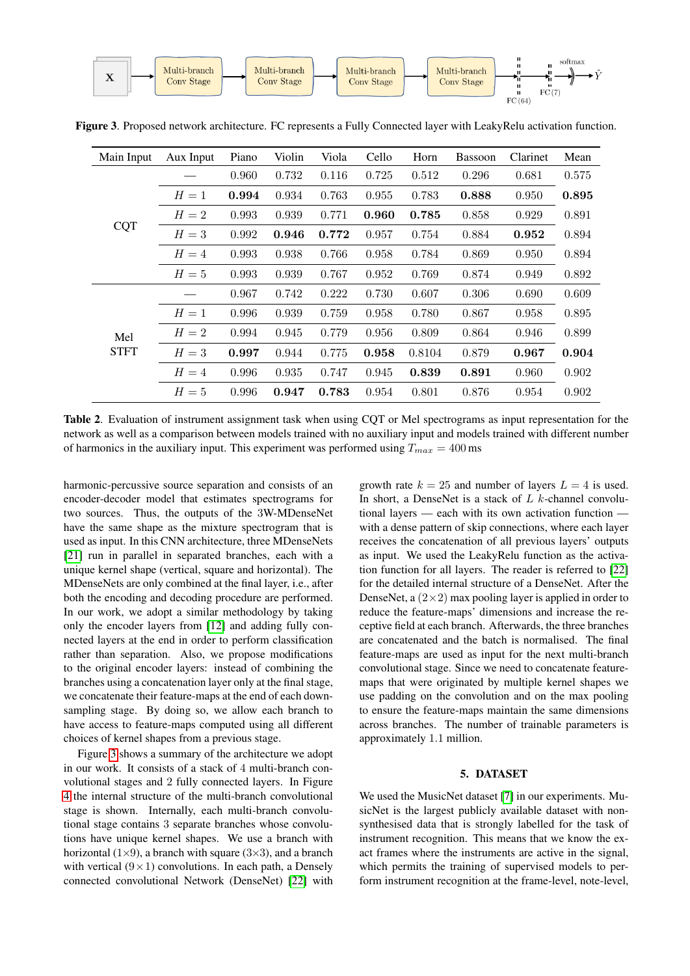

| Main Input  | Aux Input | Piano | Violin | Viola | Cello | Horn   | <b>Bassoon</b> | Clarinet | Mean  |
|-------------|-----------|-------|--------|-------|-------|--------|----------------|----------|-------|
| <b>CQT</b>  |           | 0.960 | 0.732  | 0.116 | 0.725 | 0.512  | 0.296          | 0.681    | 0.575 |
|             | $H=1$     | 0.994 | 0.934  | 0.763 | 0.955 | 0.783  | 0.888          | 0.950    | 0.895 |
|             | $H=2$     | 0.993 | 0.939  | 0.771 | 0.960 | 0.785  | 0.858          | 0.929    | 0.891 |
|             | $H=3$     | 0.992 | 0.946  | 0.772 | 0.957 | 0.754  | 0.884          | 0.952    | 0.894 |
|             | $H=4$     | 0.993 | 0.938  | 0.766 | 0.958 | 0.784  | 0.869          | 0.950    | 0.894 |
|             | $H=5$     | 0.993 | 0.939  | 0.767 | 0.952 | 0.769  | 0.874          | 0.949    | 0.892 |
|             |           | 0.967 | 0.742  | 0.222 | 0.730 | 0.607  | 0.306          | 0.690    | 0.609 |
|             | $H=1$     | 0.996 | 0.939  | 0.759 | 0.958 | 0.780  | 0.867          | 0.958    | 0.895 |
| Mel         | $H=2$     | 0.994 | 0.945  | 0.779 | 0.956 | 0.809  | 0.864          | 0.946    | 0.899 |
| <b>STFT</b> | $H=3$     | 0.997 | 0.944  | 0.775 | 0.958 | 0.8104 | 0.879          | 0.967    | 0.904 |
|             | $H=4$     | 0.996 | 0.935  | 0.747 | 0.945 | 0.839  | 0.891          | 0.960    | 0.902 |
|             | $H=5$     | 0.996 | 0.947  | 0.783 | 0.954 | 0.801  | 0.876          | 0.954    | 0.902 |

<span id="page-3-0"></span>Figure 3. Proposed network architecture. FC represents a Fully Connected layer with LeakyRelu activation function.

<span id="page-3-1"></span>Table 2. Evaluation of instrument assignment task when using CQT or Mel spectrograms as input representation for the network as well as a comparison between models trained with no auxiliary input and models trained with different number of harmonics in the auxiliary input. This experiment was performed using  $T_{max} = 400$  ms

harmonic-percussive source separation and consists of an encoder-decoder model that estimates spectrograms for two sources. Thus, the outputs of the 3W-MDenseNet have the same shape as the mixture spectrogram that is used as input. In this CNN architecture, three MDenseNets [\[21\]](#page-6-19) run in parallel in separated branches, each with a unique kernel shape (vertical, square and horizontal). The MDenseNets are only combined at the final layer, i.e., after both the encoding and decoding procedure are performed. In our work, we adopt a similar methodology by taking only the encoder layers from [\[12\]](#page-6-10) and adding fully connected layers at the end in order to perform classification rather than separation. Also, we propose modifications to the original encoder layers: instead of combining the branches using a concatenation layer only at the final stage, we concatenate their feature-maps at the end of each downsampling stage. By doing so, we allow each branch to have access to feature-maps computed using all different choices of kernel shapes from a previous stage.

Figure [3](#page-3-0) shows a summary of the architecture we adopt in our work. It consists of a stack of 4 multi-branch convolutional stages and 2 fully connected layers. In Figure [4](#page-4-2) the internal structure of the multi-branch convolutional stage is shown. Internally, each multi-branch convolutional stage contains 3 separate branches whose convolutions have unique kernel shapes. We use a branch with horizontal  $(1\times9)$ , a branch with square  $(3\times3)$ , and a branch with vertical  $(9 \times 1)$  convolutions. In each path, a Densely connected convolutional Network (DenseNet) [\[22\]](#page-6-20) with growth rate  $k = 25$  and number of layers  $L = 4$  is used. In short, a DenseNet is a stack of  $L$  k-channel convolutional layers — each with its own activation function with a dense pattern of skip connections, where each layer receives the concatenation of all previous layers' outputs as input. We used the LeakyRelu function as the activation function for all layers. The reader is referred to [\[22\]](#page-6-20) for the detailed internal structure of a DenseNet. After the DenseNet, a  $(2\times2)$  max pooling layer is applied in order to reduce the feature-maps' dimensions and increase the receptive field at each branch. Afterwards, the three branches are concatenated and the batch is normalised. The final feature-maps are used as input for the next multi-branch convolutional stage. Since we need to concatenate featuremaps that were originated by multiple kernel shapes we use padding on the convolution and on the max pooling to ensure the feature-maps maintain the same dimensions across branches. The number of trainable parameters is approximately 1.1 million.

## 5. DATASET

We used the MusicNet dataset [\[7\]](#page-6-6) in our experiments. MusicNet is the largest publicly available dataset with nonsynthesised data that is strongly labelled for the task of instrument recognition. This means that we know the exact frames where the instruments are active in the signal, which permits the training of supervised models to perform instrument recognition at the frame-level, note-level,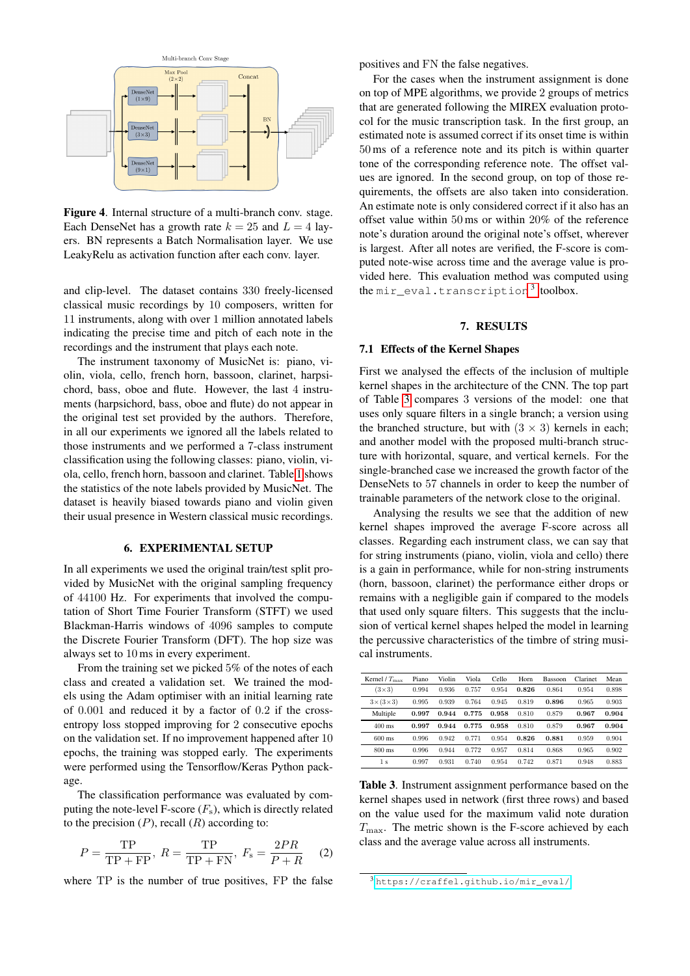

<span id="page-4-2"></span>Figure 4. Internal structure of a multi-branch conv. stage. Each DenseNet has a growth rate  $k = 25$  and  $L = 4$  layers. BN represents a Batch Normalisation layer. We use LeakyRelu as activation function after each conv. layer.

and clip-level. The dataset contains 330 freely-licensed classical music recordings by 10 composers, written for 11 instruments, along with over 1 million annotated labels indicating the precise time and pitch of each note in the recordings and the instrument that plays each note.

The instrument taxonomy of MusicNet is: piano, violin, viola, cello, french horn, bassoon, clarinet, harpsichord, bass, oboe and flute. However, the last 4 instruments (harpsichord, bass, oboe and flute) do not appear in the original test set provided by the authors. Therefore, in all our experiments we ignored all the labels related to those instruments and we performed a 7-class instrument classification using the following classes: piano, violin, viola, cello, french horn, bassoon and clarinet. Table [1](#page-1-2) shows the statistics of the note labels provided by MusicNet. The dataset is heavily biased towards piano and violin given their usual presence in Western classical music recordings.

#### 6. EXPERIMENTAL SETUP

<span id="page-4-1"></span>In all experiments we used the original train/test split provided by MusicNet with the original sampling frequency of 44100 Hz. For experiments that involved the computation of Short Time Fourier Transform (STFT) we used Blackman-Harris windows of 4096 samples to compute the Discrete Fourier Transform (DFT). The hop size was always set to 10 ms in every experiment.

From the training set we picked 5% of the notes of each class and created a validation set. We trained the models using the Adam optimiser with an initial learning rate of 0.001 and reduced it by a factor of 0.2 if the crossentropy loss stopped improving for 2 consecutive epochs on the validation set. If no improvement happened after 10 epochs, the training was stopped early. The experiments were performed using the Tensorflow/Keras Python package.

The classification performance was evaluated by computing the note-level F-score  $(F_s)$ , which is directly related to the precision  $(P)$ , recall  $(R)$  according to:

$$
P = \frac{\text{TP}}{\text{TP} + \text{FP}}, \ R = \frac{\text{TP}}{\text{TP} + \text{FN}}, \ F_{\text{s}} = \frac{2PR}{P + R} \tag{2}
$$

where TP is the number of true positives, FP the false

positives and FN the false negatives.

For the cases when the instrument assignment is done on top of MPE algorithms, we provide 2 groups of metrics that are generated following the MIREX evaluation protocol for the music transcription task. In the first group, an estimated note is assumed correct if its onset time is within 50 ms of a reference note and its pitch is within quarter tone of the corresponding reference note. The offset values are ignored. In the second group, on top of those requirements, the offsets are also taken into consideration. An estimate note is only considered correct if it also has an offset value within 50 ms or within 20% of the reference note's duration around the original note's offset, wherever is largest. After all notes are verified, the F-score is computed note-wise across time and the average value is provided here. This evaluation method was computed using the mir\_eval.transcription<sup>[3](#page-4-3)</sup> toolbox.

# 7. RESULTS

## <span id="page-4-0"></span>7.1 Effects of the Kernel Shapes

First we analysed the effects of the inclusion of multiple kernel shapes in the architecture of the CNN. The top part of Table [3](#page-4-4) compares 3 versions of the model: one that uses only square filters in a single branch; a version using the branched structure, but with  $(3 \times 3)$  kernels in each; and another model with the proposed multi-branch structure with horizontal, square, and vertical kernels. For the single-branched case we increased the growth factor of the DenseNets to 57 channels in order to keep the number of trainable parameters of the network close to the original.

Analysing the results we see that the addition of new kernel shapes improved the average F-score across all classes. Regarding each instrument class, we can say that for string instruments (piano, violin, viola and cello) there is a gain in performance, while for non-string instruments (horn, bassoon, clarinet) the performance either drops or remains with a negligible gain if compared to the models that used only square filters. This suggests that the inclusion of vertical kernel shapes helped the model in learning the percussive characteristics of the timbre of string musical instruments.

| Kernel / $T_{\text{max}}$ | Piano | Violin | Viola | Cello | Horn  | <b>Bassoon</b> | Clarinet | Mean  |
|---------------------------|-------|--------|-------|-------|-------|----------------|----------|-------|
| $(3\times3)$              | 0.994 | 0.936  | 0.757 | 0.954 | 0.826 | 0.864          | 0.954    | 0.898 |
| $3\times(3\times3)$       | 0.995 | 0.939  | 0.764 | 0.945 | 0.819 | 0.896          | 0.965    | 0.903 |
| Multiple                  | 0.997 | 0.944  | 0.775 | 0.958 | 0.810 | 0.879          | 0.967    | 0.904 |
| $400$ ms                  | 0.997 | 0.944  | 0.775 | 0.958 | 0.810 | 0.879          | 0.967    | 0.904 |
| $600$ ms                  | 0.996 | 0.942  | 0.771 | 0.954 | 0.826 | 0.881          | 0.959    | 0.904 |
| 800 ms                    | 0.996 | 0.944  | 0.772 | 0.957 | 0.814 | 0.868          | 0.965    | 0.902 |
| 1 <sub>s</sub>            | 0.997 | 0.931  | 0.740 | 0.954 | 0.742 | 0.871          | 0.948    | 0.883 |

<span id="page-4-4"></span>Table 3. Instrument assignment performance based on the kernel shapes used in network (first three rows) and based on the value used for the maximum valid note duration  $T_{\text{max}}$ . The metric shown is the F-score achieved by each class and the average value across all instruments.

<span id="page-4-3"></span><sup>3</sup> [https://craffel.github.io/mir\\_eval/](https://craffel.github.io/mir_eval/)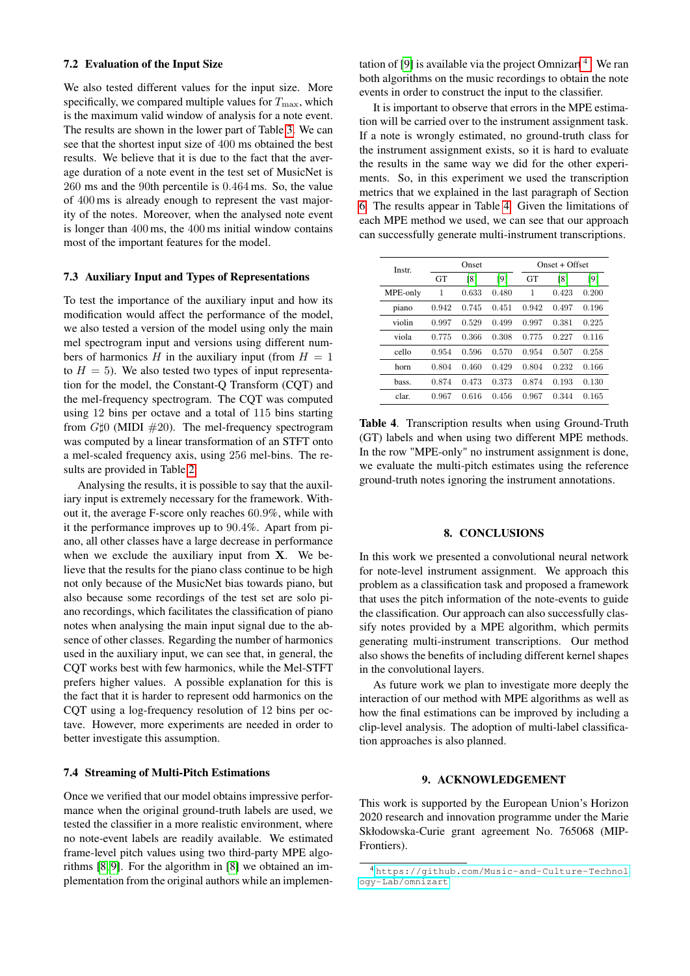## 7.2 Evaluation of the Input Size

We also tested different values for the input size. More specifically, we compared multiple values for  $T_{\text{max}}$ , which is the maximum valid window of analysis for a note event. The results are shown in the lower part of Table [3.](#page-4-4) We can see that the shortest input size of 400 ms obtained the best results. We believe that it is due to the fact that the average duration of a note event in the test set of MusicNet is 260 ms and the 90th percentile is 0.464 ms. So, the value of 400 ms is already enough to represent the vast majority of the notes. Moreover, when the analysed note event is longer than 400 ms, the 400 ms initial window contains most of the important features for the model.

# 7.3 Auxiliary Input and Types of Representations

To test the importance of the auxiliary input and how its modification would affect the performance of the model, we also tested a version of the model using only the main mel spectrogram input and versions using different numbers of harmonics H in the auxiliary input (from  $H = 1$ ) to  $H = 5$ ). We also tested two types of input representation for the model, the Constant-Q Transform (CQT) and the mel-frequency spectrogram. The CQT was computed using 12 bins per octave and a total of 115 bins starting from  $G\sharp0$  (MIDI  $\#20$ ). The mel-frequency spectrogram was computed by a linear transformation of an STFT onto a mel-scaled frequency axis, using 256 mel-bins. The results are provided in Table [2.](#page-3-1)

Analysing the results, it is possible to say that the auxiliary input is extremely necessary for the framework. Without it, the average F-score only reaches 60.9%, while with it the performance improves up to 90.4%. Apart from piano, all other classes have a large decrease in performance when we exclude the auxiliary input from  $X$ . We believe that the results for the piano class continue to be high not only because of the MusicNet bias towards piano, but also because some recordings of the test set are solo piano recordings, which facilitates the classification of piano notes when analysing the main input signal due to the absence of other classes. Regarding the number of harmonics used in the auxiliary input, we can see that, in general, the CQT works best with few harmonics, while the Mel-STFT prefers higher values. A possible explanation for this is the fact that it is harder to represent odd harmonics on the CQT using a log-frequency resolution of 12 bins per octave. However, more experiments are needed in order to better investigate this assumption.

# 7.4 Streaming of Multi-Pitch Estimations

Once we verified that our model obtains impressive performance when the original ground-truth labels are used, we tested the classifier in a more realistic environment, where no note-event labels are readily available. We estimated frame-level pitch values using two third-party MPE algorithms [\[8,](#page-6-7) [9\]](#page-6-8). For the algorithm in [\[8\]](#page-6-7) we obtained an implementation from the original authors while an implemen-

tation of [\[9\]](#page-6-8) is available via the project Omnizart<sup>[4](#page-5-0)</sup>. We ran both algorithms on the music recordings to obtain the note events in order to construct the input to the classifier.

It is important to observe that errors in the MPE estimation will be carried over to the instrument assignment task. If a note is wrongly estimated, no ground-truth class for the instrument assignment exists, so it is hard to evaluate the results in the same way we did for the other experiments. So, in this experiment we used the transcription metrics that we explained in the last paragraph of Section [6.](#page-4-1) The results appear in Table [4.](#page-5-1) Given the limitations of each MPE method we used, we can see that our approach can successfully generate multi-instrument transcriptions.

| Instr    |           | Onset |       | $Onset + Offset$ |       |       |  |
|----------|-----------|-------|-------|------------------|-------|-------|--|
|          | <b>GT</b> | [8]   | [9]   | <b>GT</b>        | [8]   | [9]   |  |
| MPE-only | 1         | 0.633 | 0.480 | 1                | 0.423 | 0.200 |  |
| piano    | 0.942     | 0.745 | 0.451 | 0.942            | 0.497 | 0.196 |  |
| violin   | 0.997     | 0.529 | 0.499 | 0.997            | 0.381 | 0.225 |  |
| viola    | 0.775     | 0.366 | 0.308 | 0.775            | 0.227 | 0.116 |  |
| cello    | 0.954     | 0.596 | 0.570 | 0.954            | 0.507 | 0.258 |  |
| horn     | 0.804     | 0.460 | 0.429 | 0.804            | 0.232 | 0.166 |  |
| bass.    | 0.874     | 0.473 | 0.373 | 0.874            | 0.193 | 0.130 |  |
| clar.    | 0.967     | 0.616 | 0.456 | 0.967            | 0.344 | 0.165 |  |

<span id="page-5-1"></span>Table 4. Transcription results when using Ground-Truth (GT) labels and when using two different MPE methods. In the row "MPE-only" no instrument assignment is done, we evaluate the multi-pitch estimates using the reference ground-truth notes ignoring the instrument annotations.

#### 8. CONCLUSIONS

In this work we presented a convolutional neural network for note-level instrument assignment. We approach this problem as a classification task and proposed a framework that uses the pitch information of the note-events to guide the classification. Our approach can also successfully classify notes provided by a MPE algorithm, which permits generating multi-instrument transcriptions. Our method also shows the benefits of including different kernel shapes in the convolutional layers.

As future work we plan to investigate more deeply the interaction of our method with MPE algorithms as well as how the final estimations can be improved by including a clip-level analysis. The adoption of multi-label classification approaches is also planned.

# 9. ACKNOWLEDGEMENT

This work is supported by the European Union's Horizon 2020 research and innovation programme under the Marie Skłodowska-Curie grant agreement No. 765068 (MIP-Frontiers).

<span id="page-5-0"></span><sup>4</sup> [https://github.com/Music-and-Culture-Technol](https://github.com/Music-and-Culture-Technology-Lab/omnizart) [ogy-Lab/omnizart](https://github.com/Music-and-Culture-Technology-Lab/omnizart)